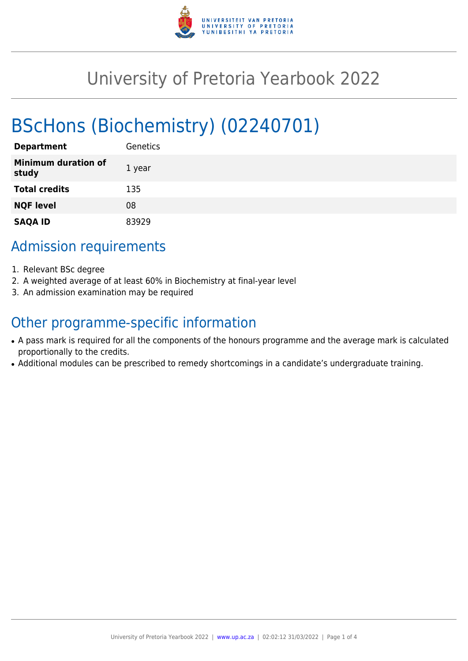

# University of Pretoria Yearbook 2022

# BScHons (Biochemistry) (02240701)

| <b>Department</b>                   | Genetics |
|-------------------------------------|----------|
| <b>Minimum duration of</b><br>study | 1 year   |
| <b>Total credits</b>                | 135      |
| <b>NQF level</b>                    | 08       |
| <b>SAQA ID</b>                      | 83929    |

# Admission requirements

- 1. Relevant BSc degree
- 2. A weighted average of at least 60% in Biochemistry at final-year level
- 3. An admission examination may be required

## Other programme-specific information

- A pass mark is required for all the components of the honours programme and the average mark is calculated proportionally to the credits.
- Additional modules can be prescribed to remedy shortcomings in a candidate's undergraduate training.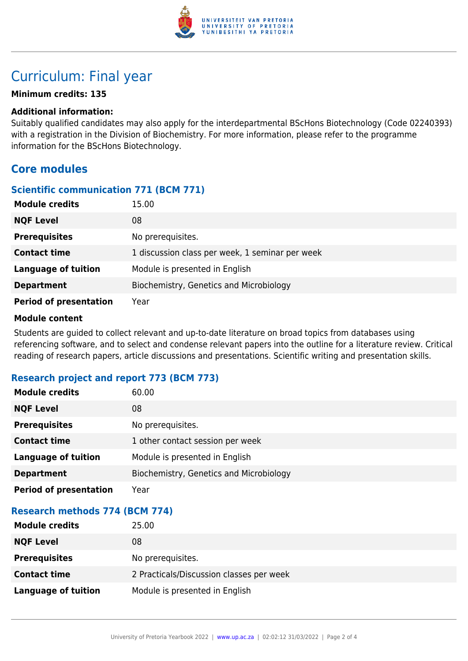

# Curriculum: Final year

#### **Minimum credits: 135**

#### **Additional information:**

Suitably qualified candidates may also apply for the interdepartmental BScHons Biotechnology (Code 02240393) with a registration in the Division of Biochemistry. For more information, please refer to the programme information for the BScHons Biotechnology.

## **Core modules**

#### **Scientific communication 771 (BCM 771)**

| <b>Module credits</b>         | 15.00                                           |
|-------------------------------|-------------------------------------------------|
| <b>NQF Level</b>              | 08                                              |
| <b>Prerequisites</b>          | No prerequisites.                               |
| <b>Contact time</b>           | 1 discussion class per week, 1 seminar per week |
| <b>Language of tuition</b>    | Module is presented in English                  |
| <b>Department</b>             | Biochemistry, Genetics and Microbiology         |
| <b>Period of presentation</b> | Year                                            |

#### **Module content**

Students are guided to collect relevant and up-to-date literature on broad topics from databases using referencing software, and to select and condense relevant papers into the outline for a literature review. Critical reading of research papers, article discussions and presentations. Scientific writing and presentation skills.

### **Research project and report 773 (BCM 773)**

| <b>Module credits</b>                 | 60.00                                    |  |
|---------------------------------------|------------------------------------------|--|
| <b>NQF Level</b>                      | 08                                       |  |
| <b>Prerequisites</b>                  | No prerequisites.                        |  |
| <b>Contact time</b>                   | 1 other contact session per week         |  |
| <b>Language of tuition</b>            | Module is presented in English           |  |
| <b>Department</b>                     | Biochemistry, Genetics and Microbiology  |  |
| <b>Period of presentation</b>         | Year                                     |  |
| <b>Research methods 774 (BCM 774)</b> |                                          |  |
| <b>Module credits</b>                 | 25.00                                    |  |
| <b>NQF Level</b>                      | 08                                       |  |
| <b>Prerequisites</b>                  | No prerequisites.                        |  |
| <b>Contact time</b>                   | 2 Practicals/Discussion classes per week |  |
| <b>Language of tuition</b>            | Module is presented in English           |  |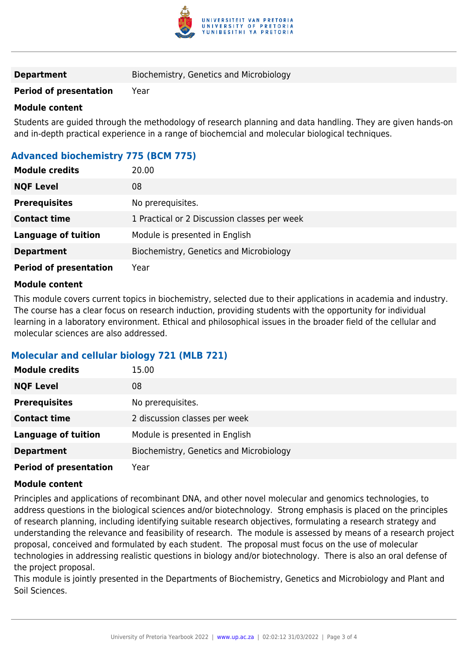

#### **Period of presentation** Year

#### **Module content**

Students are guided through the methodology of research planning and data handling. They are given hands-on and in-depth practical experience in a range of biochemcial and molecular biological techniques.

### **Advanced biochemistry 775 (BCM 775)**

| <b>Module credits</b>         | 20.00                                        |
|-------------------------------|----------------------------------------------|
| <b>NQF Level</b>              | 08                                           |
| <b>Prerequisites</b>          | No prerequisites.                            |
| <b>Contact time</b>           | 1 Practical or 2 Discussion classes per week |
| <b>Language of tuition</b>    | Module is presented in English               |
| <b>Department</b>             | Biochemistry, Genetics and Microbiology      |
| <b>Period of presentation</b> | Year                                         |

#### **Module content**

This module covers current topics in biochemistry, selected due to their applications in academia and industry. The course has a clear focus on research induction, providing students with the opportunity for individual learning in a laboratory environment. Ethical and philosophical issues in the broader field of the cellular and molecular sciences are also addressed.

### **Molecular and cellular biology 721 (MLB 721)**

| <b>Module credits</b>         | 15.00                                   |
|-------------------------------|-----------------------------------------|
| <b>NQF Level</b>              | 08                                      |
| <b>Prerequisites</b>          | No prerequisites.                       |
| <b>Contact time</b>           | 2 discussion classes per week           |
| <b>Language of tuition</b>    | Module is presented in English          |
| <b>Department</b>             | Biochemistry, Genetics and Microbiology |
| <b>Period of presentation</b> | Year                                    |

#### **Module content**

Principles and applications of recombinant DNA, and other novel molecular and genomics technologies, to address questions in the biological sciences and/or biotechnology. Strong emphasis is placed on the principles of research planning, including identifying suitable research objectives, formulating a research strategy and understanding the relevance and feasibility of research. The module is assessed by means of a research project proposal, conceived and formulated by each student. The proposal must focus on the use of molecular technologies in addressing realistic questions in biology and/or biotechnology. There is also an oral defense of the project proposal.

This module is jointly presented in the Departments of Biochemistry, Genetics and Microbiology and Plant and Soil Sciences.